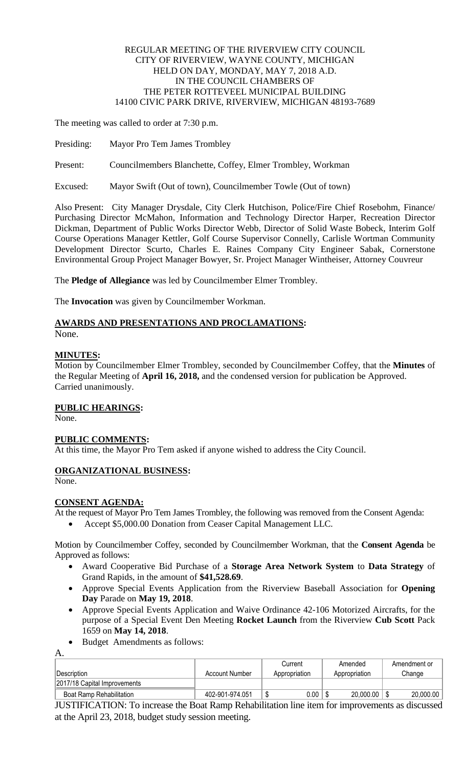#### REGULAR MEETING OF THE RIVERVIEW CITY COUNCIL CITY OF RIVERVIEW, WAYNE COUNTY, MICHIGAN HELD ON DAY, MONDAY, MAY 7, 2018 A.D. IN THE COUNCIL CHAMBERS OF THE PETER ROTTEVEEL MUNICIPAL BUILDING 14100 CIVIC PARK DRIVE, RIVERVIEW, MICHIGAN 48193-7689

The meeting was called to order at 7:30 p.m.

- Presiding: Mayor Pro Tem James Trombley
- Present: Councilmembers Blanchette, Coffey, Elmer Trombley, Workman

Excused: Mayor Swift (Out of town), Councilmember Towle (Out of town)

Also Present: City Manager Drysdale, City Clerk Hutchison, Police/Fire Chief Rosebohm, Finance/ Purchasing Director McMahon, Information and Technology Director Harper, Recreation Director Dickman, Department of Public Works Director Webb, Director of Solid Waste Bobeck, Interim Golf Course Operations Manager Kettler, Golf Course Supervisor Connelly, Carlisle Wortman Community Development Director Scurto, Charles E. Raines Company City Engineer Sabak, Cornerstone Environmental Group Project Manager Bowyer, Sr. Project Manager Wintheiser, Attorney Couvreur

The **Pledge of Allegiance** was led by Councilmember Elmer Trombley.

The **Invocation** was given by Councilmember Workman.

## **AWARDS AND PRESENTATIONS AND PROCLAMATIONS:**

None.

#### **MINUTES:**

Motion by Councilmember Elmer Trombley, seconded by Councilmember Coffey, that the **Minutes** of the Regular Meeting of **April 16, 2018,** and the condensed version for publication be Approved. Carried unanimously.

## **PUBLIC HEARINGS:**

None.

## **PUBLIC COMMENTS:**

At this time, the Mayor Pro Tem asked if anyone wished to address the City Council.

## **ORGANIZATIONAL BUSINESS:**

None.

A.

## **CONSENT AGENDA:**

At the request of Mayor Pro Tem James Trombley, the following was removed from the Consent Agenda:

Accept \$5,000.00 Donation from Ceaser Capital Management LLC.

Motion by Councilmember Coffey, seconded by Councilmember Workman, that the **Consent Agenda** be Approved as follows:

- Award Cooperative Bid Purchase of a **Storage Area Network System** to **Data Strategy** of Grand Rapids, in the amount of **\$41,528.69**.
- Approve Special Events Application from the Riverview Baseball Association for **Opening Day** Parade on **May 19, 2018**.
- Approve Special Events Application and Waive Ordinance 42-106 Motorized Aircrafts, for the purpose of a Special Event Den Meeting **Rocket Launch** from the Riverview **Cub Scott** Pack 1659 on **May 14, 2018**.
- Budget Amendments as follows:

|                              |                 | Current       | Amended       | Amendment or |  |
|------------------------------|-----------------|---------------|---------------|--------------|--|
| ∣Description                 | Account Number  | Appropriation | Appropriation | Change       |  |
| 2017/18 Capital Improvements |                 |               |               |              |  |
| Boat Ramp Rehabilitation     | 402-901-974.051 | $0.00\,$      | 20,000.00     | 20,000.00    |  |

JUSTIFICATION: To increase the Boat Ramp Rehabilitation line item for improvements as discussed at the April 23, 2018, budget study session meeting.